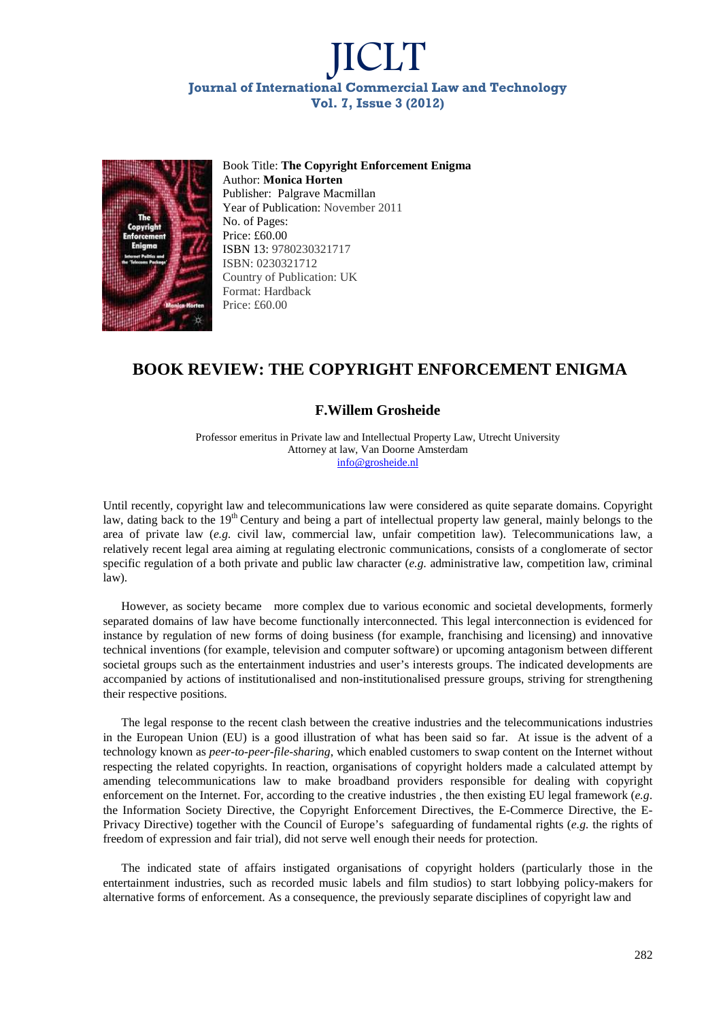# JICLT **Journal of International Commercial Law and Technology Vol. 7, Issue 3 (2012)**



Book Title: **The Copyright Enforcement Enigma** Author: **Monica Horten** Publisher: Palgrave Macmillan Year of Publication: November 2011 No. of Pages: Price: £60.00 ISBN 13: 9780230321717 ISBN: 0230321712 Country of Publication: UK Format: Hardback Price: £60.00

#### **BOOK REVIEW: THE COPYRIGHT ENFORCEMENT ENIGMA**

#### **F.Willem Grosheide**

Professor emeritus in Private law and Intellectual Property Law, Utrecht University Attorney at law, Van Doorne Amsterdam info@grosheide.nl

Until recently, copyright law and telecommunications law were considered as quite separate domains. Copyright law, dating back to the 19<sup>th</sup> Century and being a part of intellectual property law general, mainly belongs to the area of private law (*e.g.* civil law, commercial law, unfair competition law). Telecommunications law, a relatively recent legal area aiming at regulating electronic communications, consists of a conglomerate of sector specific regulation of a both private and public law character (*e.g.* administrative law, competition law, criminal law).

However, as society became more complex due to various economic and societal developments, formerly separated domains of law have become functionally interconnected. This legal interconnection is evidenced for instance by regulation of new forms of doing business (for example, franchising and licensing) and innovative technical inventions (for example, television and computer software) or upcoming antagonism between different societal groups such as the entertainment industries and user's interests groups. The indicated developments are accompanied by actions of institutionalised and non-institutionalised pressure groups, striving for strengthening their respective positions.

The legal response to the recent clash between the creative industries and the telecommunications industries in the European Union (EU) is a good illustration of what has been said so far. At issue is the advent of a technology known as *peer-to-peer-file-sharing*, which enabled customers to swap content on the Internet without respecting the related copyrights. In reaction, organisations of copyright holders made a calculated attempt by amending telecommunications law to make broadband providers responsible for dealing with copyright enforcement on the Internet. For, according to the creative industries , the then existing EU legal framework (*e.g*. the Information Society Directive, the Copyright Enforcement Directives, the E-Commerce Directive, the E-Privacy Directive) together with the Council of Europe's safeguarding of fundamental rights (*e.g.* the rights of freedom of expression and fair trial), did not serve well enough their needs for protection.

The indicated state of affairs instigated organisations of copyright holders (particularly those in the entertainment industries, such as recorded music labels and film studios) to start lobbying policy-makers for alternative forms of enforcement. As a consequence, the previously separate disciplines of copyright law and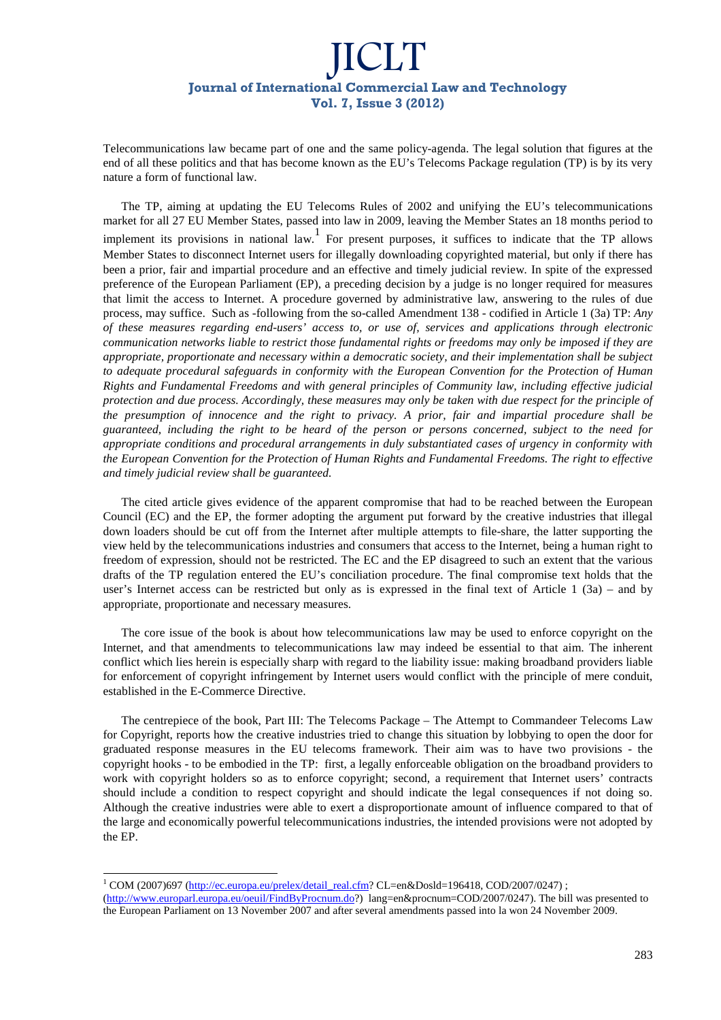## JICLT **Journal of International Commercial Law and Technology Vol. 7, Issue 3 (2012)**

Telecommunications law became part of one and the same policy-agenda. The legal solution that figures at the end of all these politics and that has become known as the EU's Telecoms Package regulation (TP) is by its very nature a form of functional law.

The TP, aiming at updating the EU Telecoms Rules of 2002 and unifying the EU's telecommunications market for all 27 EU Member States, passed into law in 2009, leaving the Member States an 18 months period to implement its provisions in national law. For present purposes, it suffices to indicate that the TP allows Member States to disconnect Internet users for illegally downloading copyrighted material, but only if there has been a prior, fair and impartial procedure and an effective and timely judicial review*.* In spite of the expressed preference of the European Parliament (EP), a preceding decision by a judge is no longer required for measures that limit the access to Internet. A procedure governed by administrative law, answering to the rules of due process, may suffice. Such as -following from the so-called Amendment 138 - codified in Article 1 (3a) TP: *Any of these measures regarding end-users' access to, or use of, services and applications through electronic communication networks liable to restrict those fundamental rights or freedoms may only be imposed if they are appropriate, proportionate and necessary within a democratic society, and their implementation shall be subject to adequate procedural safeguards in conformity with the European Convention for the Protection of Human Rights and Fundamental Freedoms and with general principles of Community law, including effective judicial protection and due process. Accordingly, these measures may only be taken with due respect for the principle of the presumption of innocence and the right to privacy. A prior, fair and impartial procedure shall be guaranteed, including the right to be heard of the person or persons concerned, subject to the need for appropriate conditions and procedural arrangements in duly substantiated cases of urgency in conformity with the European Convention for the Protection of Human Rights and Fundamental Freedoms. The right to effective and timely judicial review shall be guaranteed.* 

The cited article gives evidence of the apparent compromise that had to be reached between the European Council (EC) and the EP, the former adopting the argument put forward by the creative industries that illegal down loaders should be cut off from the Internet after multiple attempts to file-share, the latter supporting the view held by the telecommunications industries and consumers that access to the Internet, being a human right to freedom of expression, should not be restricted. The EC and the EP disagreed to such an extent that the various drafts of the TP regulation entered the EU's conciliation procedure. The final compromise text holds that the user's Internet access can be restricted but only as is expressed in the final text of Article 1 (3a) – and by appropriate, proportionate and necessary measures.

The core issue of the book is about how telecommunications law may be used to enforce copyright on the Internet, and that amendments to telecommunications law may indeed be essential to that aim. The inherent conflict which lies herein is especially sharp with regard to the liability issue: making broadband providers liable for enforcement of copyright infringement by Internet users would conflict with the principle of mere conduit, established in the E-Commerce Directive.

The centrepiece of the book, Part III: The Telecoms Package – The Attempt to Commandeer Telecoms Law for Copyright, reports how the creative industries tried to change this situation by lobbying to open the door for graduated response measures in the EU telecoms framework. Their aim was to have two provisions - the copyright hooks - to be embodied in the TP: first, a legally enforceable obligation on the broadband providers to work with copyright holders so as to enforce copyright; second, a requirement that Internet users' contracts should include a condition to respect copyright and should indicate the legal consequences if not doing so. Although the creative industries were able to exert a disproportionate amount of influence compared to that of the large and economically powerful telecommunications industries, the intended provisions were not adopted by the EP.

-

<sup>&</sup>lt;sup>1</sup> COM (2007)697 (http://ec.europa.eu/prelex/detail\_real.cfm? CL=en&Dosld=196418, COD/2007/0247) ;

<sup>(</sup>http://www.europarl.europa.eu/oeuil/FindByProcnum.do?) lang=en&procnum=COD/2007/0247). The bill was presented to the European Parliament on 13 November 2007 and after several amendments passed into la won 24 November 2009.